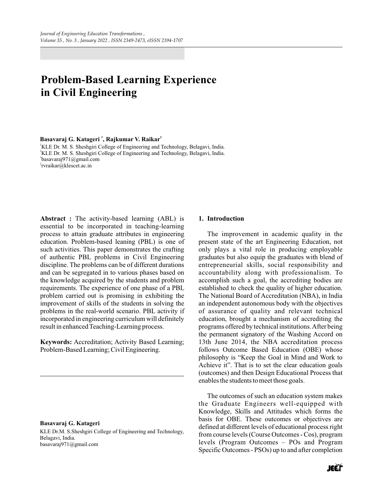# **Problem-Based Learning Experience in Civil Engineering**

## **<sup>1</sup> <sup>2</sup> Basavaraj G. Katageri , Rajkumar V. Raikar**

<sup>1</sup>KLE Dr. M. S. Sheshgiri College of Engineering and Technology, Belagavi, India. <sup>2</sup>KLE Dr. M. S. Sheshgiri College of Engineering and Technology, Belagavi, India. 1 basavaraj971@gmail.com <sup>2</sup>rvraikar@klescet.ac.in

**Abstract :** The activity-based learning (ABL) is essential to be incorporated in teaching-learning process to attain graduate attributes in engineering education. Problem-based leaning (PBL) is one of such activities. This paper demonstrates the crafting of authentic PBL problems in Civil Engineering discipline. The problems can be of different durations and can be segregated in to various phases based on the knowledge acquired by the students and problem requirements. The experience of one phase of a PBL problem carried out is promising in exhibiting the improvement of skills of the students in solving the problems in the real-world scenario. PBL activity if incorporated in engineering curriculum will definitely result in enhanced Teaching-Learning process.

**Keywords:** Accreditation; Activity Based Learning; Problem-Based Learning; Civil Engineering.

#### **Basavaraj G. Katageri**

KLE Dr.M. S.Sheshgiri College of Engineering and Technology, Belagavi, India. basavaraj971@gmail.com

# **1. Introduction**

The improvement in academic quality in the present state of the art Engineering Education, not only plays a vital role in producing employable graduates but also equip the graduates with blend of entrepreneurial skills, social responsibility and accountability along with professionalism. To accomplish such a goal, the accrediting bodies are established to check the quality of higher education. The National Board of Accreditation (NBA), in India an independent autonomous body with the objectives of assurance of quality and relevant technical education, brought a mechanism of accrediting the programs offered by technical institutions. After being the permanent signatory of the Washing Accord on 13th June 2014, the NBA accreditation process follows Outcome Based Education (OBE) whose philosophy is "Keep the Goal in Mind and Work to Achieve it". That is to set the clear education goals (outcomes) and then Design Educational Process that enables the students to meet those goals.

The outcomes of such an education system makes the Graduate Engineers well-equipped with Knowledge, Skills and Attitudes which forms the basis for OBE. These outcomes or objectives are defined at different levels of educational process right from course levels (Course Outcomes - Cos), program levels (Program Outcomes – POs and Program Specific Outcomes - PSOs) up to and after completion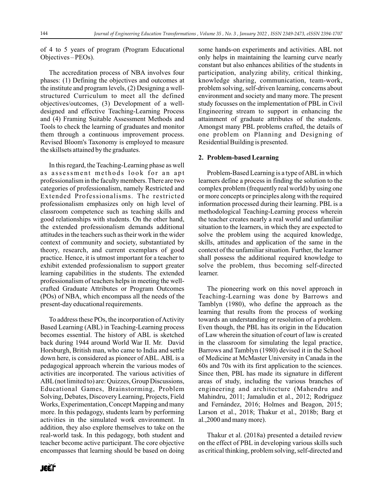of 4 to 5 years of program (Program Educational Objectives – PEOs).

The accreditation process of NBA involves four phases: (1) Defining the objectives and outcomes at the institute and program levels, (2) Designing a wellstructured Curriculum to meet all the defined objectives/outcomes, (3) Development of a welldesigned and effective Teaching-Learning Process and (4) Framing Suitable Assessment Methods and Tools to check the learning of graduates and monitor them through a continuous improvement process. Revised Bloom's Taxonomy is employed to measure the skillsets attained by the graduates.

In this regard, the Teaching-Learning phase as well as assessment methods look for an apt professionalism in the faculty members. There are two categories of professionalism, namely Restricted and Extended Professionalisms. The restricted professionalism emphasizes only on high level of classroom competence such as teaching skills and good relationships with students. On the other hand, the extended professionalism demands additional attitudes in the teachers such as their work in the wider context of community and society, substantiated by theory, research, and current exemplars of good practice. Hence, it is utmost important for a teacher to exhibit extended professionalism to support greater learning capabilities in the students. The extended professionalism of teachers helps in meeting the wellcrafted Graduate Attributes or Program Outcomes (POs) of NBA, which encompass all the needs of the present-day educational requirements.

To address these POs, the incorporation of Activity Based Learning (ABL) in Teaching-Learning process becomes essential. The history of ABL is sketched back during 1944 around World War II. Mr. David Horsburgh, British man, who came to India and settle down here, is considered as pioneer of ABL. ABL is a pedagogical approach wherein the various modes of activities are incorporated. The various activities of ABL(not limited to) are: Quizzes, Group Discussions, Educational Games, Brainstorming, Problem Solving, Debates, Discovery Learning, Projects, Field Works, Experimentation, Concept Mapping and many more. In this pedagogy, students learn by performing activities in the simulated work environment. In addition, they also explore themselves to take on the real-world task. In this pedagogy, both student and teacher become active participant. The core objective encompasses that learning should be based on doing

some hands-on experiments and activities. ABL not only helps in maintaining the learning curve nearly constant but also enhances abilities of the students in participation, analyzing ability, critical thinking, knowledge sharing, communication, team-work, problem solving, self-driven learning, concerns about environment and society and many more. The present study focusses on the implementation of PBL in Civil Engineering stream to support in enhancing the attainment of graduate attributes of the students. Amongst many PBL problems crafted, the details of one problem on Planning and Designing of Residential Building is presented.

### **2. Problem-based Learning**

Problem-Based Learning is a type of ABL in which learners define a process in finding the solution to the complex problem (frequently real world) by using one or more concepts or principles along with the required information processed during their learning. PBL is a methodological Teaching-Learning process wherein the teacher creates nearly a real world and unfamiliar situation to the learners, in which they are expected to solve the problem using the acquired knowledge, skills, attitudes and application of the same in the context of the unfamiliar situation. Further, the learner shall possess the additional required knowledge to solve the problem, thus becoming self-directed learner.

The pioneering work on this novel approach in Teaching-Learning was done by Barrows and Tamblyn (1980), who define the approach as the learning that results from the process of working towards an understanding or resolution of a problem. Even though, the PBL has its origin in the Education of Law wherein the situation of court of law is created in the classroom for simulating the legal practice, Barrows and Tamblyn (1980) devised it in the School of Medicine at McMaster University in Canada in the 60s and 70s with its first application to the sciences. Since then, PBL has made its signature in different areas of study, including the various branches of engineering and architecture (Mahendru and Mahindru, 2011; Jamaludin et al., 2012; Rodriguez and Fernández, 2016; Holmes and Beagon, 2015; Larson et al., 2018; Thakur et al., 2018b; Barg et al.,2000 and many more).

Thakur et al. (2018a) presented a detailed review on the effect of PBL in developing various skills such as critical thinking, problem solving, self-directed and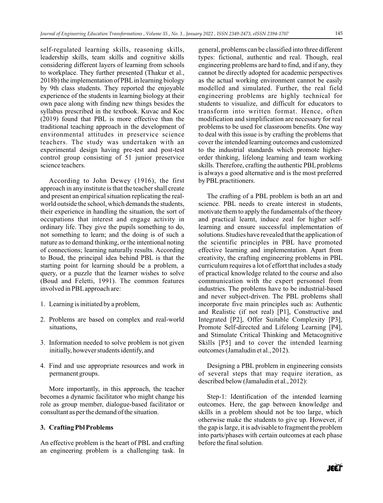self-regulated learning skills, reasoning skills, leadership skills, team skills and cognitive skills considering different layers of learning from schools to workplace. They further presented (Thakur et al., 2018b) the implementation of PBL in learning biology by 9th class students. They reported the enjoyable experience of the students in learning biology at their own pace along with finding new things besides the syllabus prescribed in the textbook. Kuvac and Koc (2019) found that PBL is more effective than the traditional teaching approach in the development of environmental attitudes in preservice science teachers. The study was undertaken with an experimental design having pre-test and post-test control group consisting of 51 junior preservice science teachers.

According to John Dewey (1916), the first approach in any institute is that the teacher shall create and present an empirical situation replicating the realworld outside the school, which demands the students, their experience in handling the situation, the sort of occupations that interest and engage activity in ordinary life. They give the pupils something to do, not something to learn; and the doing is of such a nature as to demand thinking, or the intentional noting of connections; learning naturally results. According to Boud, the principal idea behind PBL is that the starting point for learning should be a problem, a query, or a puzzle that the learner wishes to solve (Boud and Feletti, 1991). The common features involved in PBLapproach are:

- 1. Learning is initiated by a problem,
- 2. Problems are based on complex and real-world situations,
- 3. Information needed to solve problem is not given initially, however students identify, and
- 4. Find and use appropriate resources and work in permanent groups.

More importantly, in this approach, the teacher becomes a dynamic facilitator who might change his role as group member, dialogue-based facilitator or consultant as per the demand of the situation.

## **3. Crafting Pbl Problems**

An effective problem is the heart of PBL and crafting an engineering problem is a challenging task. In general, problems can be classified into three different types: fictional, authentic and real. Though, real engineering problems are hard to find, and if any, they cannot be directly adopted for academic perspectives as the actual working environment cannot be easily modelled and simulated. Further, the real field engineering problems are highly technical for students to visualize, and difficult for educators to transform into written format. Hence, often modification and simplification are necessary for real problems to be used for classroom benefits. One way to deal with this issue is by crafting the problems that cover the intended learning outcomes and customized to the industrial standards which promote higherorder thinking, lifelong learning and team working skills. Therefore, crafting the authentic PBL problems is always a good alternative and is the most preferred by PBL practitioners.

The crafting of a PBL problem is both an art and science. PBL needs to create interest in students, motivate them to apply the fundamentals of the theory and practical learnt, induce zeal for higher selflearning and ensure successful implementation of solutions. Studies have revealed that the application of the scientific principles in PBL have promoted effective learning and implementation. Apart from creativity, the crafting engineering problems in PBL curriculum requires a lot of effort that includes a study of practical knowledge related to the course and also communication with the expert personnel from industries. The problems have to be industrial-based and never subject-driven. The PBL problems shall incorporate five main principles such as: Authentic and Realistic (if not real) [P1], Constructive and Integrated [P2], Offer Suitable Complexity [P3], Promote Self-directed and Lifelong Learning [P4], and Stimulate Critical Thinking and Metacognitive Skills [P5] and to cover the intended learning outcomes (Jamaludin et al., 2012).

Designing a PBL problem in engineering consists of several steps that may require iteration, as described below (Jamaludin et al., 2012):

Step-1: Identification of the intended learning outcomes. Here, the gap between knowledge and skills in a problem should not be too large, which otherwise make the students to give up. However, if the gap is large, it is advisable to fragment the problem into parts/phases with certain outcomes at each phase before the final solution.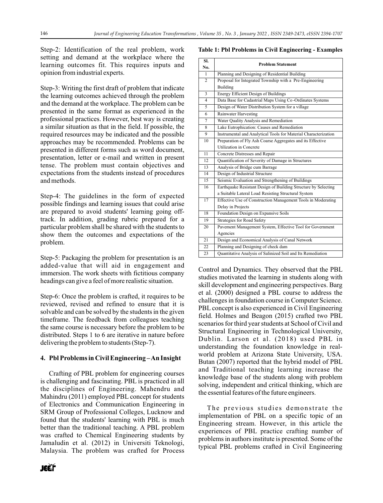Step-2: Identification of the real problem, work setting and demand at the workplace where the learning outcomes fit. This requires inputs and opinion from industrial experts.

Step-3: Writing the first draft of problem that indicate the learning outcomes achieved through the problem and the demand at the workplace. The problem can be presented in the same format as experienced in the professional practices. However, best way is creating a similar situation as that in the field. If possible, the required resources may be indicated and the possible approaches may be recommended. Problems can be presented in different forms such as word document, presentation, letter or e-mail and written in present tense. The problem must contain objectives and expectations from the students instead of procedures and methods.

Step-4: The guidelines in the form of expected possible findings and learning issues that could arise are prepared to avoid students' learning going offtrack. In addition, grading rubric prepared for a particular problem shall be shared with the students to show them the outcomes and expectations of the problem.

Step-5: Packaging the problem for presentation is an added-value that will aid in engagement and immersion. The work sheets with fictitious company headings can give a feel of more realistic situation.

Step-6: Once the problem is crafted, it requires to be reviewed, revised and refined to ensure that it is solvable and can be solved by the students in the given timeframe. The feedback from colleagues teaching the same course is necessary before the problem to be distributed. Steps 1 to 6 are iterative in nature before delivering the problem to students (Step-7).

## **4. Pbl Problems in Civil Engineering – An Insight**

Crafting of PBL problem for engineering courses is challenging and fascinating. PBL is practiced in all the disciplines of Engineering. Mahendru and Mahindru (2011) employed PBL concept for students of Electronics and Communication Engineering in SRM Group of Professional Colleges, Lucknow and found that the students' learning with PBL is much better than the traditional teaching. A PBL problem was crafted to Chemical Engineering students by Jamaludin et al. (2012) in Universiti Teknologi, Malaysia. The problem was crafted for Process

**Table 1: Pbl Problems in Civil Engineering - Examples**

| SI.            | <b>Problem Statement</b>                                        |  |  |
|----------------|-----------------------------------------------------------------|--|--|
| No.            |                                                                 |  |  |
| 1              | Planning and Designing of Residential Building                  |  |  |
| $\overline{2}$ | Proposal for Integrated Township with a Pre-Engineering         |  |  |
|                | <b>Building</b>                                                 |  |  |
| 3              | <b>Energy Efficient Design of Buildings</b>                     |  |  |
| $\overline{4}$ | Data Base for Cadastrial Maps Using Co-Ordinates Systems        |  |  |
| 5              | Design of Water Distribution System for a village               |  |  |
| 6              | <b>Rainwater Harvesting</b>                                     |  |  |
| $\tau$         | Water Quality Analysis and Remediation                          |  |  |
| 8              | Lake Eutrophication: Causes and Remediation                     |  |  |
| 9              | Instrumental and Analytical Tools for Material Characterization |  |  |
| 10             | Preparation of Fly Ash Coarse Aggregates and its Effective      |  |  |
|                | Utilization in Concrete                                         |  |  |
| 11             | Concrete Distresses and Repair                                  |  |  |
| 12             | Quantification of Severity of Damage in Structures              |  |  |
| 13             | Analysis of Bridge cum Barrage                                  |  |  |
| 14             | Design of Industrial Structure                                  |  |  |
| 15             | Seismic Evaluation and Strengthening of Buildings               |  |  |
| 16             | Earthquake Resistant Design of Building Structure by Selecting  |  |  |
|                | a Suitable Lateral Load Resisting Structural System             |  |  |
| 17             | Effective Use of Construction Management Tools in Moderating    |  |  |
|                | Delay in Projects                                               |  |  |
| 18             | Foundation Design on Expansive Soils                            |  |  |
| 19             | <b>Strategies for Road Safety</b>                               |  |  |
| 20             | Pavement Management System, Effective Tool for Government       |  |  |
|                | Agencies                                                        |  |  |
| 21             |                                                                 |  |  |
|                | Design and Economical Analysis of Canal Network                 |  |  |
| 22             | Planning and Designing of check dam                             |  |  |

Control and Dynamics. They observed that the PBL studies motivated the learning in students along with skill development and engineering perspectives. Barg et al. (2000) designed a PBL course to address the challenges in foundation course in Computer Science. PBL concept is also experienced in Civil Engineering field. Holmes and Beagon (2015) crafted two PBL scenarios for third year students at School of Civil and Structural Engineering in Technological University, Dublin. Larson et al. (2018) used PBL in understanding the foundation knowledge in realworld problem at Arizona State University, USA. Butan (2007) reported that the hybrid model of PBL and Traditional teaching learning increase the knowledge base of the students along with problem solving, independent and critical thinking, which are the essential features of the future engineers.

The previous studies demonstrate the implementation of PBL on a specific topic of an Engineering stream. However, in this article the experiences of PBL practice crafting number of problems in authors institute is presented. Some of the typical PBL problems crafted in Civil Engineering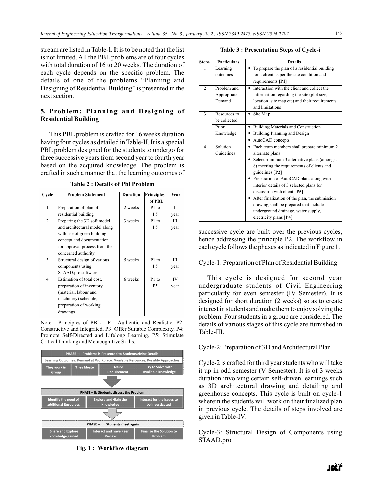stream are listed in Table-I. It is to be noted that the list is not limited. All the PBL problems are of four cycles with total duration of 16 to 20 weeks. The duration of each cycle depends on the specific problem. The details of one of the problems "Planning and Designing of Residential Building" is presented in the next section.

# **5. Problem: Planning and Designing of Residential Building**

This PBL problem is crafted for 16 weeks duration having four cycles as detailed in Table-II. It is a special PBL problem designed for the students to undergo for three successive years from second year to fourth year based on the acquired knowledge. The problem is crafted in such a manner that the learning outcomes of

| Cycle          | <b>Problem Statement</b>      | Duration | <b>Principles</b> | Year         |
|----------------|-------------------------------|----------|-------------------|--------------|
|                |                               |          | of PBL            |              |
| 1              | Preparation of plan of        | 2 weeks  | P1 to             | $\mathbf{I}$ |
|                | residential building          |          | P5                | year         |
| $\overline{c}$ | Preparing the 3D soft model   | 3 weeks  | P1 to             | Ш            |
|                | and architectural model along |          | P5                | year         |
|                | with use of green building    |          |                   |              |
|                | concept and documentation     |          |                   |              |
|                | for approval process from the |          |                   |              |
|                | concerned authority           |          |                   |              |
| 3              | Structural design of various  | 5 weeks  | P1 to             | Ш            |
|                | components using              |          | P5                | year         |
|                | STAAD.pro software            |          |                   |              |
| 4              | Estimation of total cost,     | 6 weeks  | P1 to             | IV           |
|                | preparation of inventory      |          | P5                | year         |
|                | (material, labour and         |          |                   |              |
|                | machinery) schedule,          |          |                   |              |
|                | preparation of working        |          |                   |              |
|                | drawings                      |          |                   |              |

**Table 2 : Details of Pbl Problem**

Note : Principles of PBL - P1: Authentic and Realistic, P2: Constructive and Integrated, P3: Offer Suitable Complexity, P4: Promote Self-Directed and Lifelong Learning, P5: Stimulate Critical Thinking and Metacognitive Skills.



**Fig. 1 : Workflow diagram** 

## **Table 3 : Presentation Steps of Cycle-i**

| <b>Steps</b>   | <b>Particulars</b> | <b>Details</b>                                 |
|----------------|--------------------|------------------------------------------------|
|                | Learning           | To prepare the plan of a residential building  |
|                | outcomes           | for a client as per the site condition and     |
|                |                    | requirements [P1]                              |
| $\overline{2}$ | Problem and        | Interaction with the client and collect the    |
|                | Appropriate        | information regarding the site (plot size,     |
|                | Demand             | location, site map etc) and their requirements |
|                |                    | and limitations                                |
| 3              | Resources to       | • Site Map                                     |
|                | be collected       |                                                |
|                | Prior              | <b>Building Materials and Construction</b>     |
|                | Knowledge          | Building Planning and Design                   |
|                |                    | AutoCAD concepts                               |
| 4              | Solution           | Each team members shall prepare minimum 2      |
|                | Guidelines         | alternate plans                                |
|                |                    | Select minimum 3 alternative plans (amongst    |
|                |                    | 8) meeting the requirements of clients and     |
|                |                    | guidelines [P2]                                |
|                |                    | Preparation of AutoCAD plans along with        |
|                |                    | interior details of 3 selected plans for       |
|                |                    | discussion with client $[$ P5 $]$              |
|                |                    | After finalization of the plan, the submission |
|                |                    | drawing shall be prepared that include         |
|                |                    | underground drainage, water supply,            |
|                |                    | electricity plans [P4]                         |

successive cycle are built over the previous cycles, hence addressing the principle P2. The workflow in each cycle follows the phases as indicated in Figure 1.

# Cycle-1: Preparation of Plan of Residential Building

This cycle is designed for second year undergraduate students of Civil Engineering particularly for even semester (IV Semester). It is designed for short duration (2 weeks) so as to create interest in students and make them to enjoy solving the problem. Four students in a group are considered. The details of various stages of this cycle are furnished in Table-III.

# Cycle-2: Preparation of 3D and Architectural Plan

Cycle-2 is crafted for third year students who will take it up in odd semester (V Semester). It is of 3 weeks duration involving certain self-driven learnings such as 3D architectural drawing and detailing and greenhouse concepts. This cycle is built on cycle-1 wherein the students will work on their finalized plan in previous cycle. The details of steps involved are given in Table-IV.

Cycle-3: Structural Design of Components using STAAD.pro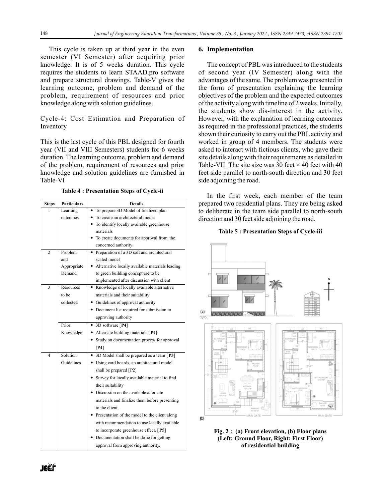This cycle is taken up at third year in the even semester (VI Semester) after acquiring prior knowledge. It is of 5 weeks duration. This cycle requires the students to learn STAAD.pro software and prepare structural drawings. Table-V gives the learning outcome, problem and demand of the problem, requirement of resources and prior knowledge along with solution guidelines.

Cycle-4: Cost Estimation and Preparation of Inventory

This is the last cycle of this PBL designed for fourth year (VII and VIII Semesters) students for 6 weeks duration. The learning outcome, problem and demand of the problem, requirement of resources and prior knowledge and solution guidelines are furnished in Table-VI

**Table 4 : Presentation Steps of Cycle-ii**

| <b>Steps</b>            | <b>Particulars</b> | <b>Details</b>                                     |  |
|-------------------------|--------------------|----------------------------------------------------|--|
| 1                       | Learning           | To prepare 3D Model of finalized plan<br>$\bullet$ |  |
|                         | outcomes           | • To create an architectural model                 |  |
|                         |                    | • To identify locally available greenhouse         |  |
|                         |                    | materials                                          |  |
|                         |                    | To create documents for approval from the          |  |
|                         |                    | concerned authority                                |  |
| $\overline{c}$          | Problem            | Preparation of a 3D soft and architectural         |  |
|                         | and                | scaled model                                       |  |
|                         | Appropriate        | • Alternative locally available materials leading  |  |
|                         | Demand             | to green building concept are to be                |  |
|                         |                    | implemented after discussion with client           |  |
| 3                       | Resources          | • Knowledge of locally available alternative       |  |
|                         | to be              | materials and their suitability                    |  |
|                         | collected          | • Guidelines of approval authority                 |  |
|                         |                    | • Document list required for submission to         |  |
|                         |                    | approving authority                                |  |
|                         | Prior              | • 3D software [P4]                                 |  |
|                         | Knowledge          | • Alternate building materials [P4]                |  |
|                         |                    | Study on documentation process for approval        |  |
|                         |                    | $[$ P4]                                            |  |
| $\overline{\mathbf{A}}$ | Solution           | • 3D Model shall be prepared as a team [P3]        |  |
|                         | Guidelines         | • Using card boards, an architectural model        |  |
|                         |                    | shall be prepared $[$ <b>P2</b> $]$                |  |
|                         |                    | Survey for locally available material to find      |  |
|                         |                    | their suitability                                  |  |
|                         |                    | • Discussion on the available alternate            |  |
|                         |                    | materials and finalize them before presenting      |  |
|                         |                    | to the client.                                     |  |
|                         |                    | Presentation of the model to the client along      |  |
|                         |                    | with recommendation to use locally available       |  |
|                         |                    | to incorporate greenhouse effect. [P5]             |  |
|                         |                    | Documentation shall be done for getting            |  |
|                         |                    | approval from approving authority.                 |  |
|                         |                    |                                                    |  |

### **6. Implementation**

The concept of PBL was introduced to the students of second year (IV Semester) along with the advantages of the same. The problem was presented in the form of presentation explaining the learning objectives of the problem and the expected outcomes of the activity along with timeline of 2 weeks. Initially, the students show dis-interest in the activity. However, with the explanation of learning outcomes as required in the professional practices, the students shown their curiosity to carry out the PBLactivity and worked in group of 4 members. The students were asked to interact with fictious clients, who gave their site details along with their requirements as detailed in Table-VII. The site size was 30 feet  $\times$  40 feet with 40 feet side parallel to north-south direction and 30 feet side adjoining the road.

In the first week, each member of the team prepared two residential plans. They are being asked to deliberate in the team side parallel to north-south direction and 30 feet side adjoining the road.

## **Table 5 : Presentation Steps of Cycle-iii**



**Fig. 2 : (a) Front elevation, (b) Floor plans (Left: Ground Floor, Right: First Floor) of residential building**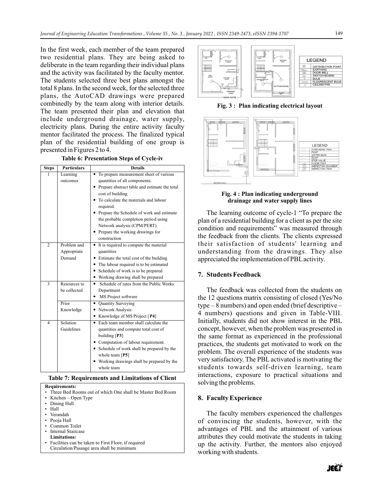In the first week, each member of the team prepared two residential plans. They are being asked to deliberate in the team regarding their individual plans and the activity was facilitated by the faculty mentor. The students selected three best plans amongst the total 8 plans. In the second week, for the selected three plans, the AutoCAD drawings were prepared combinedly by the team along with interior details. The team presented their plan and elevation that include underground drainage, water supply, electricity plans. During the entire activity faculty mentor facilitated the process. The finalized typical plan of the residential building of one group is

**Table 6: Presentation Steps of Cycle-iv**

presented in Figures 2 to 4.

| <b>Steps</b>   | <b>Particulars</b> | <b>Details</b>                                |  |
|----------------|--------------------|-----------------------------------------------|--|
| 1              | Learning           | To prepare measurement sheet of various       |  |
|                | outcomes           | quantities of all components.                 |  |
|                |                    | Prepare abstract table and estimate the total |  |
|                |                    | cost of building.                             |  |
|                |                    | To calculate the materials and labour         |  |
|                |                    | required.                                     |  |
|                |                    | Prepare the Schedule of work and estimate     |  |
|                |                    | the probable completion period using          |  |
|                |                    | Network analysis (CPM/PERT)                   |  |
|                |                    | Prepare the working drawings for              |  |
|                |                    | construction                                  |  |
| $\overline{2}$ | Problem and        | It is required to compute the material        |  |
|                | Appropriate        | quantities                                    |  |
|                | Demand             | Estimate the total cost of the building       |  |
|                |                    | • The labour required is to be estimated      |  |
|                |                    | Schedule of work is to be prepared            |  |
|                |                    | Working drawing shall be prepared             |  |
| 3              | Resources to       | Schedule of rates from the Public Works       |  |
|                | be collected       | Department                                    |  |
|                |                    | • MS Project software                         |  |
|                | Prior              | <b>Quantity Surveying</b><br>٠                |  |
|                | Knowledge          | • Network Analysis                            |  |
|                |                    | • Knowledge of MS Project [P4]                |  |
| 4              | Solution           | Each team member shall calculate the<br>٠     |  |
|                | Guidelines         | quantities and compute total cost of          |  |
|                |                    | building $[P3]$                               |  |
|                |                    | Computation of labour requirement.            |  |
|                |                    | Schedule of work shall be prepared by the     |  |
|                |                    | whole team [P5]                               |  |
|                |                    | Working drawings shall be prepared by the     |  |
|                |                    | whole team                                    |  |

#### **Table 7: Requirements and Limitations of Client**

**Requirements:** 

- Three Bed Rooms out of which One shall be Master Bed Room
- Kitchen Open Type
- Dining Hall<br>• Hall
- Hall
- Verandah
- Pooja Hall
- Common Toilet
- Internal Staircase
- **Limitations:**
- Facilities can be taken to First Floor, if required Circulation/Passage area shall be minimum



**Fig. 3 : Plan indicating electrical layout** 



## **Fig. 4 : Plan indicating underground drainage and water supply lines**

The learning outcome of cycle-1 "To prepare the plan of a residential building for a client as per the site condition and requirements" was measured through the feedback from the clients. The clients expressed their satisfaction of students' learning and understanding from the drawings. They also appreciated the implementation of PBLactivity.

# **7. Students Feedback**

The feedback was collected from the students on the 12 questions matrix consisting of closed (Yes/No type – 8 numbers) and open ended (brief descriptive – 4 numbers) questions and given in Table-VIII. Initially, students did not show interest in the PBL concept, however, when the problem was presented in the same format as experienced in the professional practices, the students get motivated to work on the problem. The overall experience of the students was very satisfactory. The PBL activated is motivating the students towards self-driven learning, team interactions, exposure to practical situations and solving the problems.

# **8. Faculty Experience**

The faculty members experienced the challenges of convincing the students, however, with the advantages of PBL and the attainment of various attributes they could motivate the students in taking up the activity. Further, the mentors also enjoyed working with students.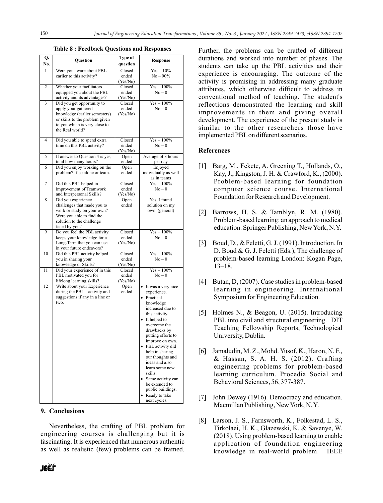| Q.             | Question                                                      | Type of                    |                                       |
|----------------|---------------------------------------------------------------|----------------------------|---------------------------------------|
| No.            |                                                               | question                   | Response                              |
| 1              | Were you aware about PBL                                      | Closed                     | $Yes - 10\%$                          |
|                | earlier to this activity?                                     | ended                      | $No - 90\%$                           |
|                |                                                               | (Yes/No)                   |                                       |
| $\overline{2}$ | Whether your facilitators                                     | Closed                     | $Yes - 100\%$                         |
|                | equipped you about the PBL                                    | ended                      | $No - 0$                              |
|                | activity and its advantages?                                  | (Yes/No)                   |                                       |
| 3              | Did you get opportunity to                                    | Closed                     | $Yes - 100\%$                         |
|                | apply your gathered<br>knowledge (earlier semesters)          | ended<br>(Yes/No)          | $No - 0$                              |
|                | or skills to the problem given                                |                            |                                       |
|                | to you which is very close to                                 |                            |                                       |
|                | the Real world?                                               |                            |                                       |
|                |                                                               |                            |                                       |
| $\overline{4}$ | Did you able to spend extra                                   | Closed                     | $Yes - 100\%$                         |
|                | time on this PBL activity?                                    | ended                      | $No - 0$                              |
|                |                                                               | (Yes/No)                   |                                       |
| 5              | If answer to Question 4 is yes,                               | Open                       | Average of 3 hours                    |
|                | total how many hours?                                         | ended                      | per day                               |
| 6              | Did you enjoy working on the<br>problem? If so alone or team. | Open<br>ended              | Enjoyed<br>individually as well       |
|                |                                                               |                            | as in teams                           |
| 7              | Did this PBL helped in                                        | Closed                     | $Yes - 100\%$                         |
|                | improvement of Teamwork                                       | ended                      | $No - 0$                              |
|                | and Interpersonal Skills?                                     | (Yes/No)                   |                                       |
| 8              | Did you experience                                            | Open                       | Yes, I found                          |
|                | challenges that made you to                                   | ended                      | solution on my                        |
|                | work or study on your own?                                    |                            | own. (general)                        |
|                | Were you able to find the                                     |                            |                                       |
|                | solution to the challenge<br>faced by you?                    |                            |                                       |
| 9              | Do you feel the PBL activity                                  | $\overline{\text{Closed}}$ | $Yes - 100\%$                         |
|                | keeps your knowledge for a                                    | ended                      | $No-0$                                |
|                | Long-Term that you can use                                    | (Yes/No)                   |                                       |
|                | in your future endeavors?                                     |                            |                                       |
| 10             | Did this PBL activity helped                                  | Closed                     | $Yes - 100\%$                         |
|                | you in sharing your                                           | ended                      | $No-0$                                |
|                | knowledge or Skills?                                          | (Yes/No)                   |                                       |
| 11             | Did your experience of in this                                | Closed                     | $Yes - 100\%$                         |
|                | PBL motivated you for<br>lifelong learning skills?            | ended<br>(Yes/No)          | $No-0$                                |
| 12             | Write about your Experience                                   | Open                       | It was a very nice<br>$\bullet$       |
|                | during the PBL activity and                                   | ended                      | experience.                           |
|                | suggestions if any in a line or                               |                            | • Practical                           |
|                | two.                                                          |                            | knowledge                             |
|                |                                                               |                            | increased due to                      |
|                |                                                               |                            | this activity.                        |
|                |                                                               |                            | It helped to                          |
|                |                                                               |                            | overcome the                          |
|                |                                                               |                            | drawbacks by                          |
|                |                                                               |                            | putting efforts to                    |
|                |                                                               |                            | improve on own.                       |
|                |                                                               |                            | • PBL activity did<br>help in sharing |
|                |                                                               |                            | our thoughts and                      |
|                |                                                               |                            | ideas and also                        |
|                |                                                               |                            | learn some new                        |
|                |                                                               |                            | skills.                               |
|                |                                                               |                            | • Same activity can                   |
|                |                                                               |                            | be extended to                        |
|                |                                                               |                            | public buildings.                     |
|                |                                                               |                            | Ready to take                         |
|                |                                                               |                            | next cycles.                          |

## **9. Conclusions**

Nevertheless, the crafting of PBL problem for engineering courses is challenging but it is fascinating. It is experienced that numerous authentic as well as realistic (few) problems can be framed. Further, the problems can be crafted of different durations and worked into number of phases. The students can take up the PBL activities and their experience is encouraging. The outcome of the activity is promising in addressing many graduate attributes, which otherwise difficult to address in conventional method of teaching. The student's reflections demonstrated the learning and skill improvements in them and giving overall development. The experience of the present study is similar to the other researchers those have implemented PBLon different scenarios.

## **References**

- [1] Barg, M., Fekete, A. Greening T., Hollands, O., Kay, J., Kingston, J. H. & Crawford, K., (2000). Problem-based learning for foundation computer science course. International Foundation for Research and Development.
- [2] Barrows, H. S. & Tamblyn, R. M. (1980). Problem-based learning: an approach to medical education. Springer Publishing, New York, N.Y.
- [3] Boud, D., & Feletti, G. J. (1991). Introduction. In D. Boud & G. J. Feletti (Eds.), The challenge of problem-based learning London: Kogan Page, 13–18.
- [4] Butan, D, (2007). Case studies in problem-based learning in engineering. International Symposium for Engineering Education.
- [5] Holmes N., & Beagon, U. (2015). Introducing PBL into civil and structural engineering. DIT Teaching Fellowship Reports, Technological University, Dublin.
- [6] Jamaludin, M. Z., Mohd. Yusof, K., Haron, N. F., & Hassan, S. A. H. S. (2012). Crafting engineering problems for problem-based learning curriculum. Procedia Social and Behavioral Sciences, 56, 377-387.
- [7] John Dewey (1916). Democracy and education. Macmillan Publishing, New York, N. Y.
- [8] Larson, J. S., Farnsworth, K., Folkestad, L. S., Tirkolaei, H. K., Glazewski, K. & Savenye, W. (2018). Using problem-based learning to enable application of foundation engineering knowledge in real-world problem. IEEE